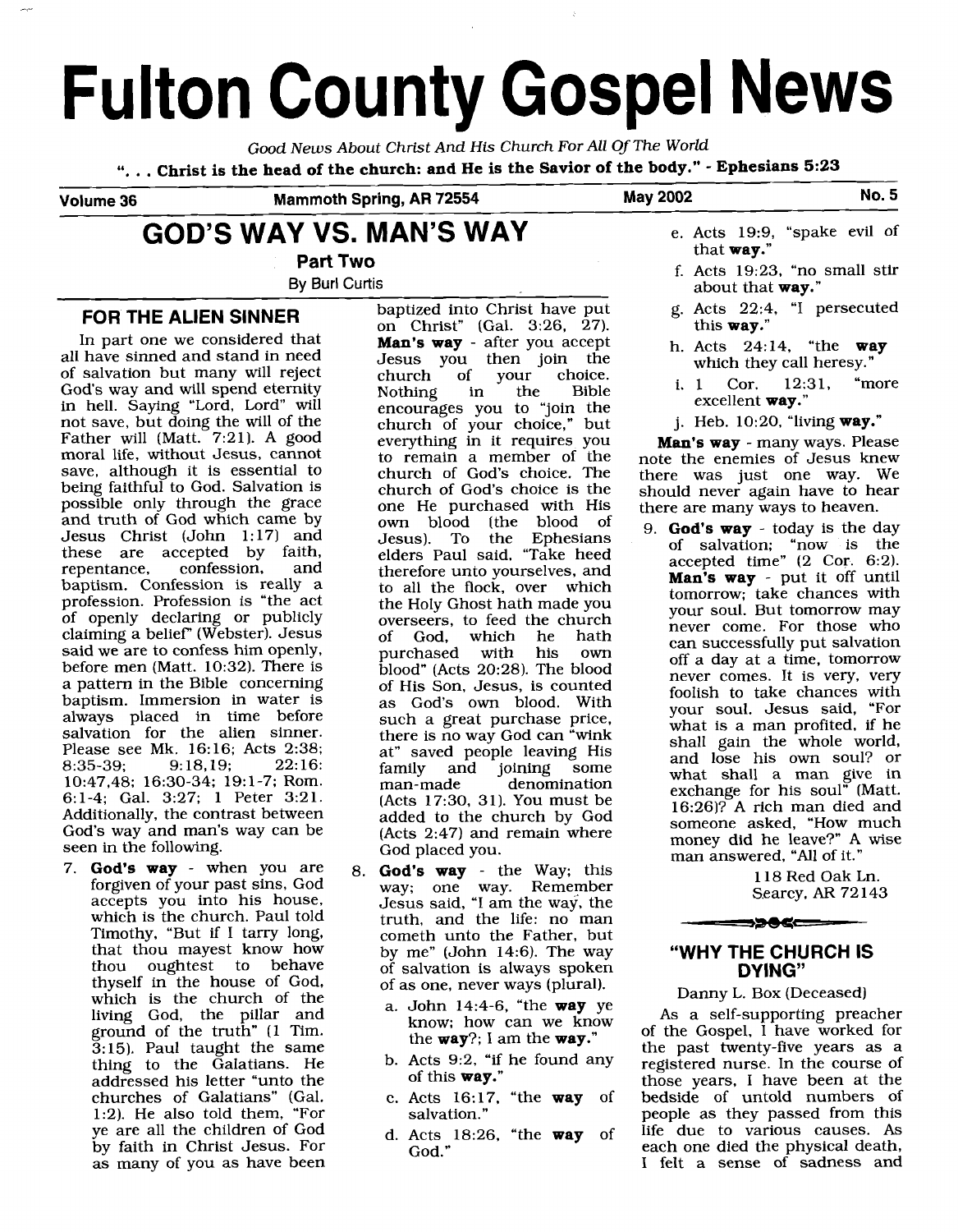# **Fulton County Gospel News**

Good News About Christ And **His** Church For All Of The World ". . . **Christ is the head of the church: and He is the Savior of the body."** - **Ephesians 5:23** 

**Volume 36 Mammoth Spring, AR 72554 May 2002 No. 5** 

## **GOD'S WAY VS. MAN'S WAY e. Acts 19:9, "spake evil of that way."**

In part one we considered that<br>
all have sinned and stand in need<br>
of salvation but many will reject<br>
God's way and will spend eternity<br>
the solution of your choice.<br>
The salvation but many will reject<br>
church of your choi God's way and will spend eternity Worthing in the Bible i. 1 Cor. 12:<br>
in hell. Saying "Lord, Lord" will encourages you to "join the excellent way." in hell. Saying "Lord. Lord" will encourages you to "join the excellent **way.**"<br>not save, but doing the will of the church of your choice." but j. Heb. 10:20, "living **way."** not save, but doing the will of the church of your choice," but j. Heb. 10:20, "living **way.**"<br>Father will (Matt. 7:21). A good everything in it requires you **Man's way** - many ways. Please Father will (Matt. 7:21). A good everything in it requires you moral life, without Jesus, cannot to remain a member of the save, although it is essential to church of God's choice. The there was just one way. We being faithful to God. Salvation is church of God's choice is the should never again have to hear<br>possible only through the grace one He purchased with His there are many ways to heaven. possible only through the grace one He purchased with His and truth of God which came by own blood (the blood of and truth of God which came by Jesus Christ (John 1:17) and Jesus). To the Ephesians these are accepted by faith, elders Paul said, "Take heed repentance, confession, and therefore unto vourselves, and  $\frac{1}{2}$  and  $\frac{1}{2}$  are  $\frac{1}{2}$  and  $\frac{1}{2}$ baptism. Confession is really a **Many 19 and the flock**, over which profession. Profession is "the act the Holy Ghost hath made you profession. Profession is "the act the Holy Ghost hath made you over soul. But tomorrow may overseers, to feed the church claiming a belief (Webster). Jesus of God. which he hath claiming a belief' (Webster). Jesus of God, which he hath never come. For those who said we are to confess him openly,<br>before men (Matt. 10:32). There is blood " (Acts 20:28). The blood salvation pure agree of the very very before men (Matt. 10:32). There is blood" (Acts 20:28). The blood never comes. It is very, very a pattern in the Bible concerning of His Son, Jesus, is counted for the phases with a pattern in the Bible concerning of His Son, Jesus, is counted never comes. It is very, very of  $\frac{1}{2}$  here is son, Jesus, is counted foolish to take chances with baptism. Immersion in water is as God's own blood. With your soul. Jesus said, "For always placed in time before such a great purchase price,<br>salvation for the alien sinner.<br>Please see Mk. 16:16; Acts 2:38; at saved people leaving His and lose his sum soul? or Please see Mk. 16:16; Acts 2:38;  $\alpha$  at" saved people leaving His 8:35-39; 9:18,19; 22:16:  $\alpha$  family and joining some Prease see MR. 10.10, Acts 2.00, at saved people leaving ris and lose his own soul? or family and joining some and lose his own soul? or family and joining some what shall a man give in  $10:47,48$ ; 16:30-34; 19:1-7; Rom. a 6:1-4; Gal. 3:27; 1 Peter 3:21. (Acts 17:30, 31). You must be exchange for his soul (Matt.  $\frac{16:26}{26}$ )? A rich man died and additionally, the contrast between added to the church by God Additionally, the contrast between added to the church by God 16:26)? A rich man died and Additionally, the contrast between added to the church by God someone asked, "How much God's way and man's way can be  $($ Acts 2:47) and remain where seen in the following. God placed you.

7. God's way - when you are 8. God's way - the Way; this forgiven of your past sins, God by a subsetion of your past sins, God by a subsetion of your past sins, God by a subsetion of your past sins, God by a subsetion of t which is the church of the  $\frac{1}{2}$  a. John 14:4-6, "the **way** ye  $\frac{1}{2}$   $\frac{1}{2}$   $\frac{1}{2}$   $\frac{1}{2}$   $\frac{1}{2}$   $\frac{1}{2}$   $\frac{1}{2}$   $\frac{1}{2}$   $\frac{1}{2}$   $\frac{1}{2}$   $\frac{1}{2}$   $\frac{1}{2}$   $\frac{1}{2}$   $\frac{1}{2}$   $\frac{1}{2}$   $\frac{$ living God, the pillar and a. John 14:4-6, the **way** ye<br>ground of the truth" (1 Tim.  $\frac{1}{2}$  knows how can we know ye are all the children of God d. Acts 18:26, "the **way** of by faith in Christ Jesus. For and cod r

**FOR THE ALIEN SINNER** baptized into Christ have put g. Acts 22:4, "I persecuted on Christ" (Gal. 3:26, 27). to all the flock, over which as God's own blood. With<br>such a great purchase price,

- which is the church. Paul told truth, and the life: no man<br>Timothy, "But if I tarry long, cometh unto the Father, but cometh unto the Father, but<br>by me" (John 14:6). The way that thou mayest know how by me" (John 14:6). The way thou oughtest to behave of salvation is always spoken thyself in the house of God,  $\qquad$  of as one, never ways (plural).
	-
	-
	-
	-
- 
- **Part Two**<br>By Burl Curtis **Part Two f.** Acts 19:23, "no small stir about that **way.**"
	-
	-
	-
	-

note the enemies of Jesus knew

accepted time"  $(2 \text{ Cor. } 6:2)$ .<br>**Man's way** - put it off until to therefore unto your therefore unto your self-10:47,48; 16:30-34; 19:l-7; Rom. what shall a man give in man-made denomination God s way and man's way can be  $(Acts 2:47)$  and remain where money did he leave?" A wise seen in the following. God placed you. man answered, "All of it."<br>7. **God's way** - when you are 8. **God's way** - the Way; this and an



#### **"WHY THE CHURCH IS DYING"**

know; how can we know  $\frac{1}{4}$ ;  $\frac{4}{3}$ ;  $\frac{1}{4}$  as a self-supporting preacher<br>the **way**?; I am the **way.**" of the Gospel, I have worked for ground of the truth" (1 Tim. the **way**?; I am the **way.**" bothe Gospel, I have worked for the **way.**" be past twenty-five years as a  $\frac{3:15}{2}$ . Paul taught the same the way: the past twenty-five years as a thing to the Galatians. He b. Acts 9:2, "if he found any registered nurse. In the course of thing to the Galatians. He b. Acts 9:2, "if he found any registered nurse. In the course of didenssed his letter "unto the of this **way.**" bose years, I have been at the addressed his letter "unto the of this **way.**" those years, I have been at the churches of Galatians" (Gal. c. Acts 16:17, "the **way** of bedside of untold numbers of churches of Galatians" (Gal. c. Acts 16:17, "the **way** of bedside of untold numbers of 1:2). He also told them, "For salvation." all people as they passed from this ye are all the children of God  $\overline{d}$  Acts 18:26 "the **way** of life due to various causes. As by faith in Christ Jesus. For God." each one died the physical death, as many of you as have been I felt a sense of sadness and I felt a sense of sadness and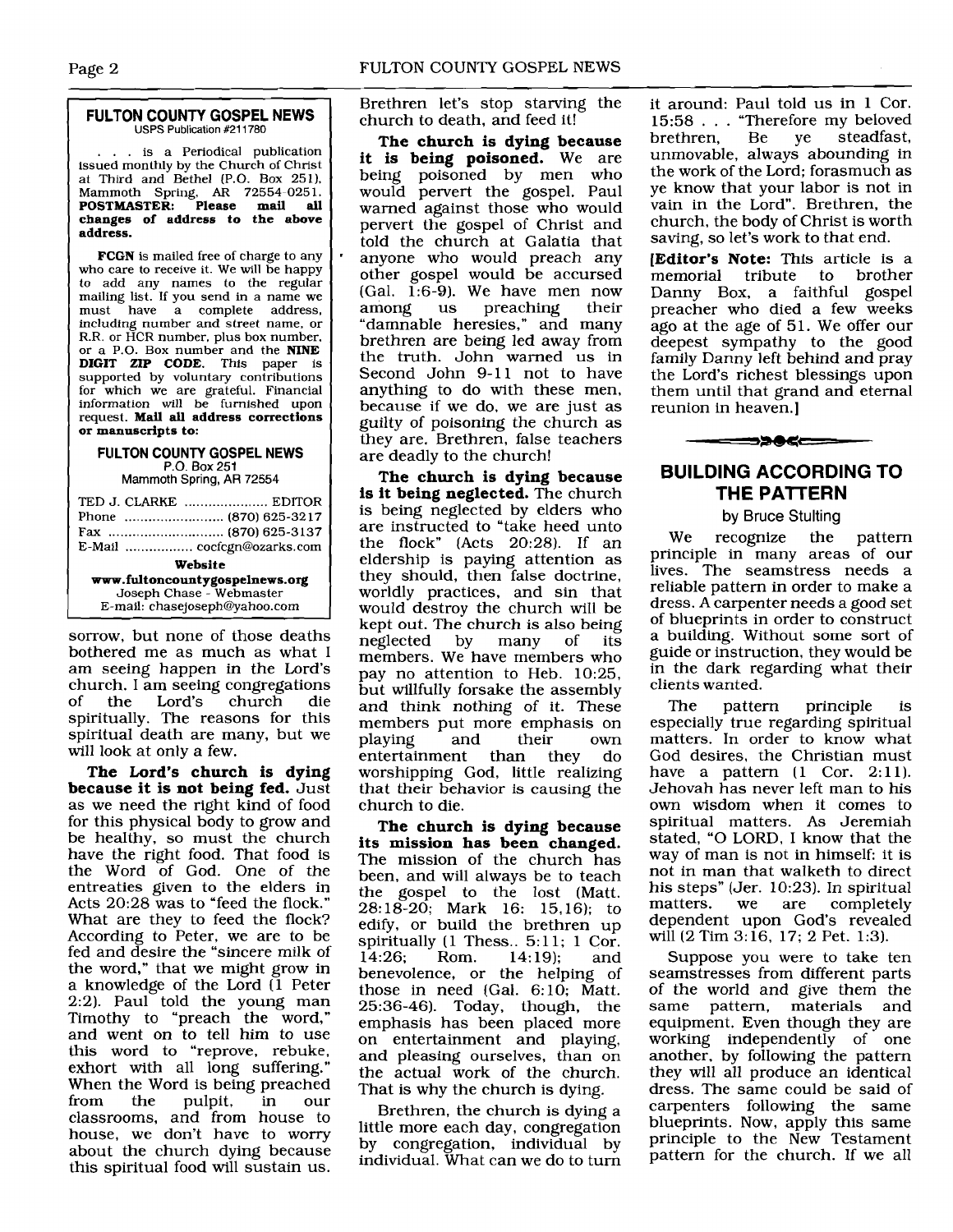#### **FULTON COUNTY GOSPEL NEWS**  USPS Publication #211780

... is a Periodical publication issued monthly by the Church of Christ at Third and Bethel (P.O. Box 251), Mammoth Spring, **AR** 72554-025 1. **POSTMASTER: Please mail all changes of address to the above address.** 

**FCGN** is mailed free of charge to any who care to receive it. We will be happy to add any names to the regular mailing list. If you send in a name we<br>must have a complete address.  $\epsilon$  have a complete address, including number and street name, or R.R. or HCR number, plus box number. or a P.O. Box number and the **NINE DIGIT ZIP CODE.** This paper is supported by voluntary contributions for which we are grateful. Financial information will be furnished upon request. **Mail all address corrections or manuscripts to:** 

#### **FllLTON COllNTY GOSPEL NEWS**

**P.O.** Box **251**  Mammoth Spring, AR 72554

| TED J. CLARKE  EDITOR                                                                       |
|---------------------------------------------------------------------------------------------|
| E-Mail  cocfcgn@ozarks.com<br>Website                                                       |
| www.fultoncountygospelnews.org<br>Joseph Chase - Webmaster<br>E-mail: chasejoseph@yahoo.com |

sorrow, but none of those deaths bothered me as much as what I am seeing happen in the Lord's church. I am seeing congregations<br>of the Lord's church die of the Lord's church spiritually. The reasons for this spiritual death are many, but we will look at only a few.

**The Lord's church is dying because it is not being fed.** Just as we need the right kind of food for this physical body to grow and be healthy, so must the church have the right food. That food is the Word of God. One of the entreaties given to the elders in Acts 20:28 was to "feed the flock." What are they to feed the flock? According to Peter, we are to be fed and desire the "sincere milk of the word," that we might grow in a knowledge of the Lord (1 Peter 2:2). Paul told the young man Timothy to "preach the word," and went on to tell him to use this word to "reprove, rebuke, exhort with all long suffering. When the Word is being preached from the pulpit, in our classrooms, and from house to house, we don't have to worry about the church dying because this spiritual food will sustain us.

Brethren let's stop starving the church to death, and feed it!

**The church is dying because it is being poisoned.** We are being poisoned by men who would pervert the gospel. Paul warned against those who would pervert the gospel of Christ and told the church at Galatia that anyone who would preach any other gospel would be accursed  $(Gal. 1:6-9)$ . We have men now among us preaching their preaching "damnable heresies," and many brethren are being led away from the truth. John warned us in Second John 9-11 not to have anything to do with these men, because if we do, we are just as guilty of poisoning the church as they are. Brethren, false teachers are deadly to the church!

**The church is dying because is it being neglected.** The church is being neglected by elders who are instructed to "take heed unto the flock" (Acts 20:28). If an eldership is paying attention as they should, then false doctrine, worldly practices, and sin that would destroy the church will be kept out. The church is also being<br>neglected by many of its by many members. We have members who pay no attention to Heb. 10:25, but willfully forsake the assembly and think nothing of it. These members put more emphasis on<br>playing and their own playing and their own<br>entertainment than they do entertainment than they worshipping God, little realizing that their behavior is causing the church to die.

**The church is dying because its mission has been changed.**  The mission of the church has been, and will always be to teach the gospel to the lost (Matt. 28:lB-20; Mark 16: 15,16); to edify, or build the brethren up spiritually (1 Thess.. 5:11; 1 Cor.<br>14:26: Rom. 14:19): and  $14:19$ ; benevolence, or the helping of those in need (Gal. 6:lO; Matt. 25:36-46). Today, though, the emphasis has been placed more on entertainment and playing, and pleasing ourselves, than on the actual work of the church. That is why the church is dying.

Brethren, the church is dying a little more each day, congregation by congregation, individual by individual. What can we do to turn it around: Paul told us in 1 Cor. 15:58 . . . "Therefore my beloved<br>brethren, Be ye steadfast, brethren, Be ye steadfast, unmovable, always abounding in the work of the Lord; forasmuch as ye know that your labor is not in vain in the Lord". Brethren, the church, the body of Christ is worth saving, so let's work to that end.

**[Editor's Note:** This article is a memorial tribute to brother memorial tribute Danny Box, a faithful gospel preacher who died a few weeks ago at the age of 51. We offer our deepest sympathy to the good family Danny left behind and pray the Lord's richest blessings upon them until that grand and eternal reunion in heaven.]

#### **BUILDING ACCORDING TO THE PATTERN**

#### **by** Bruce Stulting

We recognize the pattern principle in many areas of our lives. The seamstress needs a reliable pattern in order to make a dress. A carpenter needs a good set of blueprints in order to construct a building. Without some sort of guide or instruction, they would be in the dark regarding what their clients wanted.

The pattern principle is especially true regarding spiritual matters. In order to know what God desires, the Christian must have a pattern  $(1 \text{Cor. } 2:11)$ . Jehovah has never left man to his own wisdom when it comes to spiritual matters. As Jeremiah stated, "0 LORD, I know that the way of man is not in himself: it is not in man that walketh to direct his steps" (Jer. 10:23). In spiritual<br>matters. we are completely we are completely dependent upon God's revealed will (2 Tim 3: 16, 17; 2 Pet. 1:3).

Suppose you were to take ten seamstresses from different parts of the world and give them the same pattern, materials and equipment. Even though they are working independently of one another, by following the pattern they will all produce an identical dress. The same could be said of carpenters following the same blueprints. Now, apply this same principle to the New Testament pattern for the church. If we all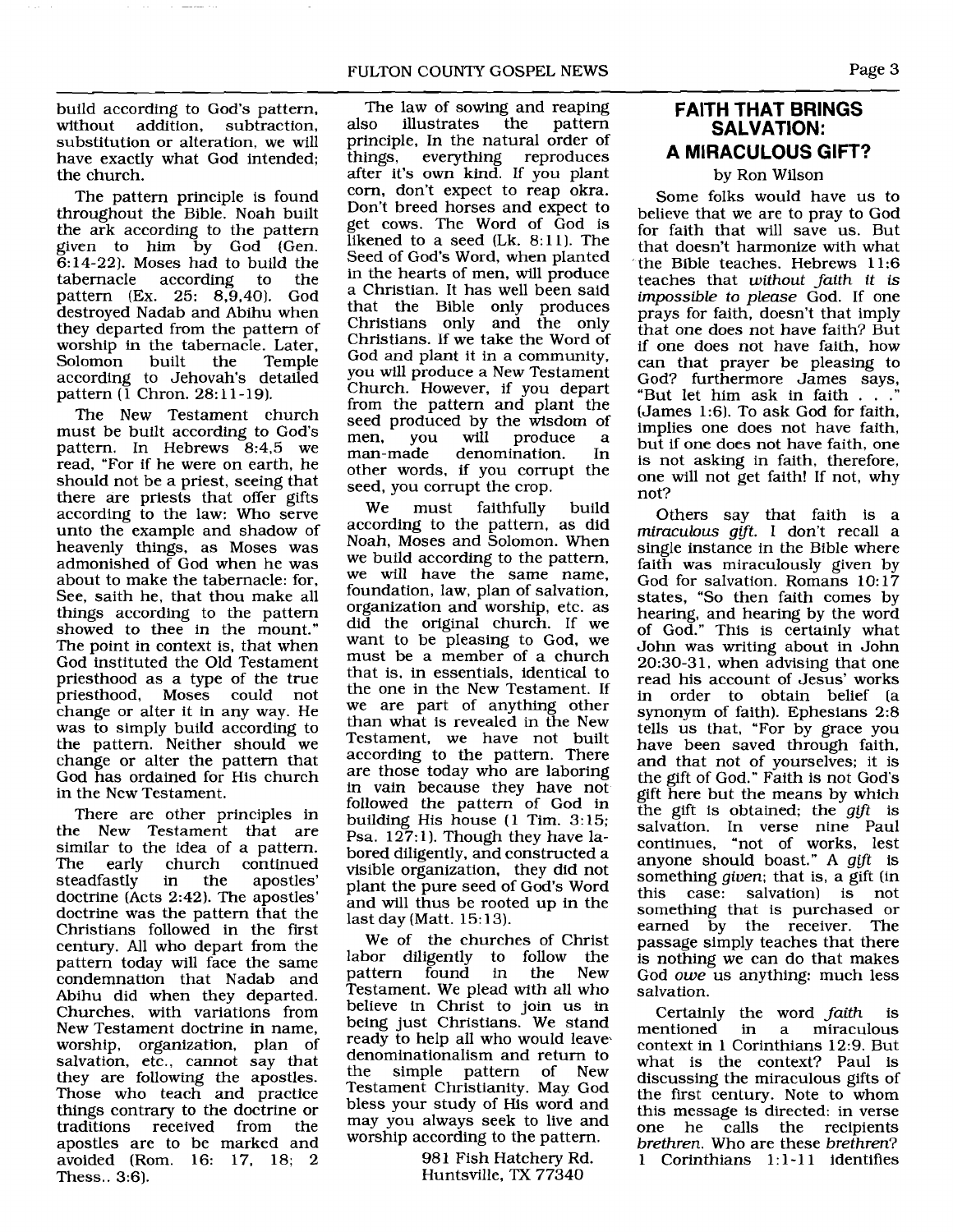build according to God's pattern, without addition, subtraction, substitution or alteration, we will have exactly what God intended; the church.

The pattern principle is found throughout the Bible. Noah built the ark according to the pattern given to him by God (Gen. 6:14-22). Moses had to build the tabernacle according to the pattern (Ex. 25: 8,9,40). God destroyed Nadab and Abihu when they departed from the pattern of worship in the tabernacle. Later,<br>Solomon built the Temple Solomon built the Temple according to Jehovah's detailed pattern (1 Chron. 28: 11 -19).

The New Testament church must be built according to God's pattern. In Hebrews 8:4,5 we read, "For if he were on earth, he should not be a priest, seeing that there are priests that offer gifts according to the law: Who serve unto the example and shadow of heavenly things, as Moses was admonished of God when he was about to make the tabernacle: for, See, saith he, that thou make all things according to the pattern showed to thee in the mount." The point in context is, that when God instituted the Old Testament priesthood as a type of the true priesthood, Moses could not change or alter it in any way. He was to simply build according to the pattern. Neither should we change or alter the pattern that God has ordained for His church in the New Testament.

There are other principles in the New Testament that are similar to the idea of a pattern.<br>The early church continued church continued<br>in the apostles' steadfastly doctrine (Acts 2:42]. The apostles' doctrine was the pattern that the Christians followed in the first century. All who depart from the pattern today will face the same condemnation that Nadab and Abihu did when they departed. Churches, with variations from New Testament doctrine in name, worship, organization, plan of salvation, etc., cannot say that they are following the apostles. Those who teach and practice things contrary to the doctrine or<br>traditions received from the traditions received from apostles are to be marked and avoided (Rom. 16: 17, 18; 2 Thess.. 3:6).

The law of sowing and reaping also illustrates the pattern principle, In the natural order of things, everything reproduces after it's own kind. If you plant corn, don't expect to reap okra. Don't breed horses and expect to get cows. The Word of God is likened to a seed  $(Lk. 8:11)$ . The Seed of God's Word, when planted in the hearts of men, will produce a Christian. It has well been said that the Bible only produces Christians only and the only Christians. If we take the Word of God and plant it in a community, you will produce a New Testament Church. However, if you depart from the pattern and plant the seed produced by the wisdom of<br>men, you will produce a men, you will produce a<br>man-made denomination. In denomination. In other words, if you corrupt the seed, you corrupt the crop.

We must faithfully build according to the pattern, as did Noah, Moses and Solomon. When we build according to the pattern, we will have the same name, foundation, law, plan of salvation, organization and worship, etc. as did the original church. If we want to be pleasing to God, we must be a member of a church that is, in essentials, identical to the one in the New Testament. If we are part of anything other than what is revealed in the New Testament, we have not built according to the pattern. There are those today who are laboring in vain because they have not followed the pattern of God in building His house (1 Tim. 3:15; Psa.  $127:1$ ). Though they have labored diligently, and constructed a visible organization, they did not plant the pure seed of God's Word and will thus be rooted up in the last day (Matt.  $15:13$ ).

We of the churches of Christ passage simply teaches that there<br>labor diligently to follow the is nothing we can do that makes labor diligently to follow the is nothing we can do that makes<br>pattern found in the New God *owe* us anything: much less Testament. We plead with all who salvation. believe in Christ to join us in being just Christians. We stand ready to help all who would leave denominationalism and return to the simple pattern of New Testament Christianity. May God bless your study of His word and may you always seek to live and worship according to the pattern.

> 981 Fish Hatchery Rd. Huntsville, **TX** 77340

#### **FAITH THAT BRINGS SALVATION: A MIRACULOUS GIFT?**

#### by Ron Wilson

Some folks would have us to believe that we are to pray to God for faith that will save us. But that doesn't harmonize with what the Bible teaches. Hebrews 11:6 teaches that *without faith it is impossible to please* God. If one prays for faith, doesn't that imply that one does not have faith? But if one does not have faith, how can that prayer be pleasing to God? furthermore James says, "But let him ask in faith  $\ldots$ . (James 1:6). To ask God for faith, implies one does not have faith, but if one does not have faith, one is not asking in faith, therefore, one will not get faith! If not, why not?

Others say that faith is a *miraculous gift.* I don't recall a single instance in the Bible where faith was miraculously given by God for salvation. Romans 10: 17 states, "So then faith comes by hearing, and hearing by the word of God." This is certainly what John was writing about in John 20:30-3 **1,** when advising that one read his account of Jesus' works in order to obtain belief [a synonym of faith). Ephesians 2:8 tells us that, "For by grace you have been saved through faith, and that not of yourselves; it is the gift of God." Faith is not God's gift here but the means by which the gift is obtained; the *gtft* is salvation. In verse nine Paul continues, "not of works, lest anyone should boast." A *gift* is something *given;* that is, a gift (in this case: salvation) is not something that is purchased or earned bv the receiver. The God *owe* us anything: much less

Certainly the word *faith* is mentioned in a miraculous context in 1 Corinthians 12:9. But what is the context? Paul is discussing the miraculous gifts of the first century. Note to whom this message is directed: in verse one he calls the recipients *brethren.* Who are these *brethren?*  1 Corinthians 1:1-11 identifies